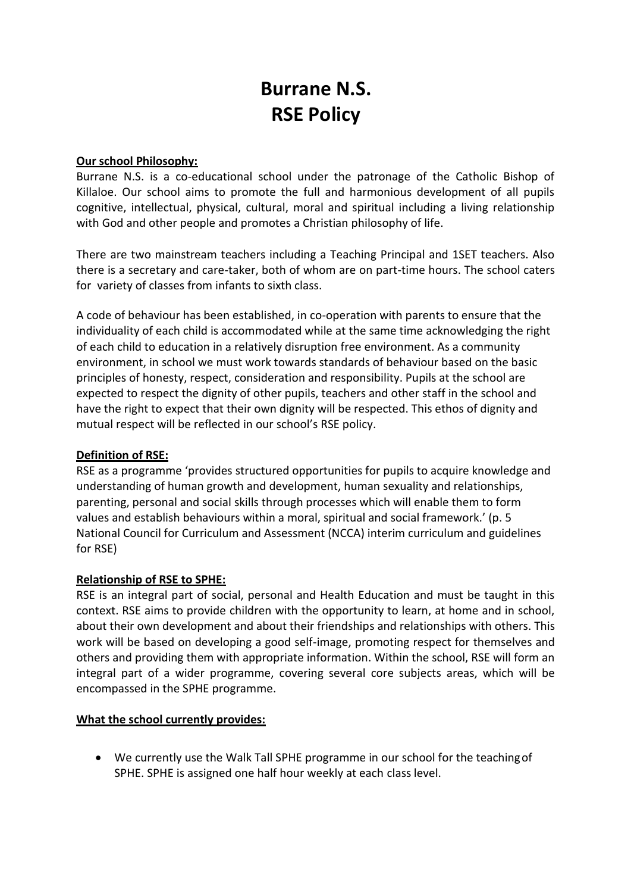# **Burrane N.S. RSE Policy**

#### **Our school Philosophy:**

Burrane N.S. is a co-educational school under the patronage of the Catholic Bishop of Killaloe. Our school aims to promote the full and harmonious development of all pupils cognitive, intellectual, physical, cultural, moral and spiritual including a living relationship with God and other people and promotes a Christian philosophy of life.

There are two mainstream teachers including a Teaching Principal and 1SET teachers. Also there is a secretary and care-taker, both of whom are on part-time hours. The school caters for variety of classes from infants to sixth class.

A code of behaviour has been established, in co-operation with parents to ensure that the individuality of each child is accommodated while at the same time acknowledging the right of each child to education in a relatively disruption free environment. As a community environment, in school we must work towards standards of behaviour based on the basic principles of honesty, respect, consideration and responsibility. Pupils at the school are expected to respect the dignity of other pupils, teachers and other staff in the school and have the right to expect that their own dignity will be respected. This ethos of dignity and mutual respect will be reflected in our school's RSE policy.

# **Definition of RSE:**

RSE as a programme 'provides structured opportunities for pupils to acquire knowledge and understanding of human growth and development, human sexuality and relationships, parenting, personal and social skills through processes which will enable them to form values and establish behaviours within a moral, spiritual and social framework.' (p. 5 National Council for Curriculum and Assessment (NCCA) interim curriculum and guidelines for RSE)

# **Relationship of RSE to SPHE:**

RSE is an integral part of social, personal and Health Education and must be taught in this context. RSE aims to provide children with the opportunity to learn, at home and in school, about their own development and about their friendships and relationships with others. This work will be based on developing a good self-image, promoting respect for themselves and others and providing them with appropriate information. Within the school, RSE will form an integral part of a wider programme, covering several core subjects areas, which will be encompassed in the SPHE programme.

#### **What the school currently provides:**

 We currently use the Walk Tall SPHE programme in our school for the teachingof SPHE. SPHE is assigned one half hour weekly at each class level.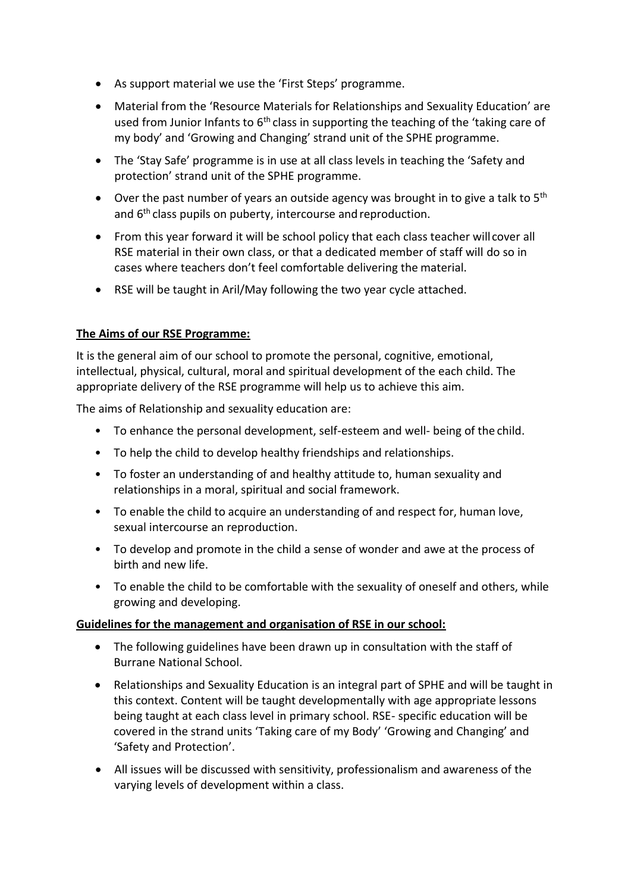- As support material we use the 'First Steps' programme.
- Material from the 'Resource Materials for Relationships and Sexuality Education' are used from Junior Infants to  $6<sup>th</sup>$  class in supporting the teaching of the 'taking care of my body' and 'Growing and Changing' strand unit of the SPHE programme.
- The 'Stay Safe' programme is in use at all class levels in teaching the 'Safety and protection' strand unit of the SPHE programme.
- $\bullet$  Over the past number of years an outside agency was brought in to give a talk to 5<sup>th</sup> and 6<sup>th</sup> class pupils on puberty, intercourse and reproduction.
- From this year forward it will be school policy that each class teacher willcover all RSE material in their own class, or that a dedicated member of staff will do so in cases where teachers don't feel comfortable delivering the material.
- RSE will be taught in Aril/May following the two year cycle attached.

# **The Aims of our RSE Programme:**

It is the general aim of our school to promote the personal, cognitive, emotional, intellectual, physical, cultural, moral and spiritual development of the each child. The appropriate delivery of the RSE programme will help us to achieve this aim.

The aims of Relationship and sexuality education are:

- To enhance the personal development, self-esteem and well- being of the child.
- To help the child to develop healthy friendships and relationships.
- To foster an understanding of and healthy attitude to, human sexuality and relationships in a moral, spiritual and social framework.
- To enable the child to acquire an understanding of and respect for, human love, sexual intercourse an reproduction.
- To develop and promote in the child a sense of wonder and awe at the process of birth and new life.
- To enable the child to be comfortable with the sexuality of oneself and others, while growing and developing.

# **Guidelines for the management and organisation of RSE in our school:**

- The following guidelines have been drawn up in consultation with the staff of Burrane National School.
- Relationships and Sexuality Education is an integral part of SPHE and will be taught in this context. Content will be taught developmentally with age appropriate lessons being taught at each class level in primary school. RSE- specific education will be covered in the strand units 'Taking care of my Body' 'Growing and Changing' and 'Safety and Protection'.
- All issues will be discussed with sensitivity, professionalism and awareness of the varying levels of development within a class.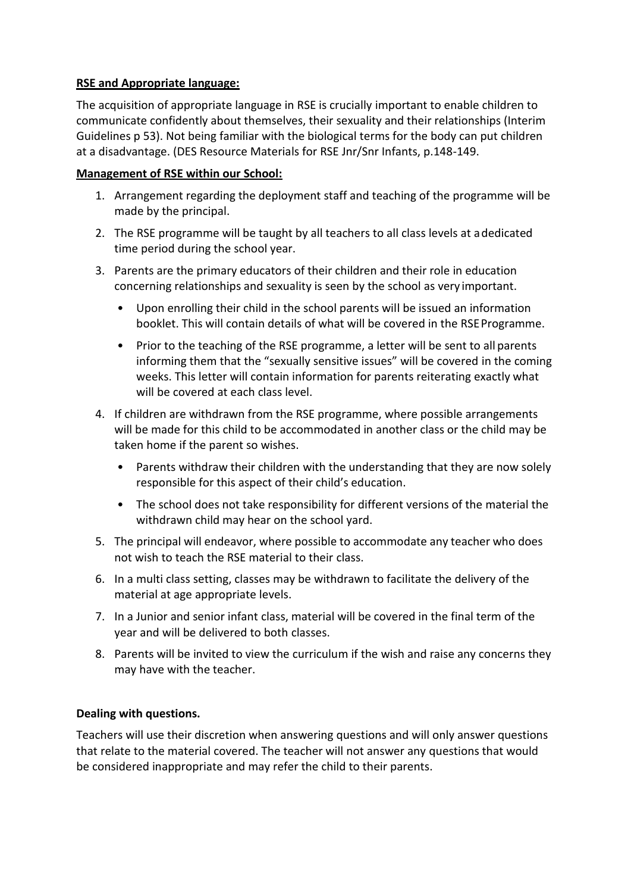### **RSE and Appropriate language:**

The acquisition of appropriate language in RSE is crucially important to enable children to communicate confidently about themselves, their sexuality and their relationships (Interim Guidelines p 53). Not being familiar with the biological terms for the body can put children at a disadvantage. (DES Resource Materials for RSE Jnr/Snr Infants, p.148-149.

#### **Management of RSE within our School:**

- 1. Arrangement regarding the deployment staff and teaching of the programme will be made by the principal.
- 2. The RSE programme will be taught by all teachers to all class levels at adedicated time period during the school year.
- 3. Parents are the primary educators of their children and their role in education concerning relationships and sexuality is seen by the school as very important.
	- Upon enrolling their child in the school parents will be issued an information booklet. This will contain details of what will be covered in the RSE Programme.
	- Prior to the teaching of the RSE programme, a letter will be sent to all parents informing them that the "sexually sensitive issues" will be covered in the coming weeks. This letter will contain information for parents reiterating exactly what will be covered at each class level.
- 4. If children are withdrawn from the RSE programme, where possible arrangements will be made for this child to be accommodated in another class or the child may be taken home if the parent so wishes.
	- Parents withdraw their children with the understanding that they are now solely responsible for this aspect of their child's education.
	- The school does not take responsibility for different versions of the material the withdrawn child may hear on the school yard.
- 5. The principal will endeavor, where possible to accommodate any teacher who does not wish to teach the RSE material to their class.
- 6. In a multi class setting, classes may be withdrawn to facilitate the delivery of the material at age appropriate levels.
- 7. In a Junior and senior infant class, material will be covered in the final term of the year and will be delivered to both classes.
- 8. Parents will be invited to view the curriculum if the wish and raise any concerns they may have with the teacher.

# **Dealing with questions.**

Teachers will use their discretion when answering questions and will only answer questions that relate to the material covered. The teacher will not answer any questions that would be considered inappropriate and may refer the child to their parents.